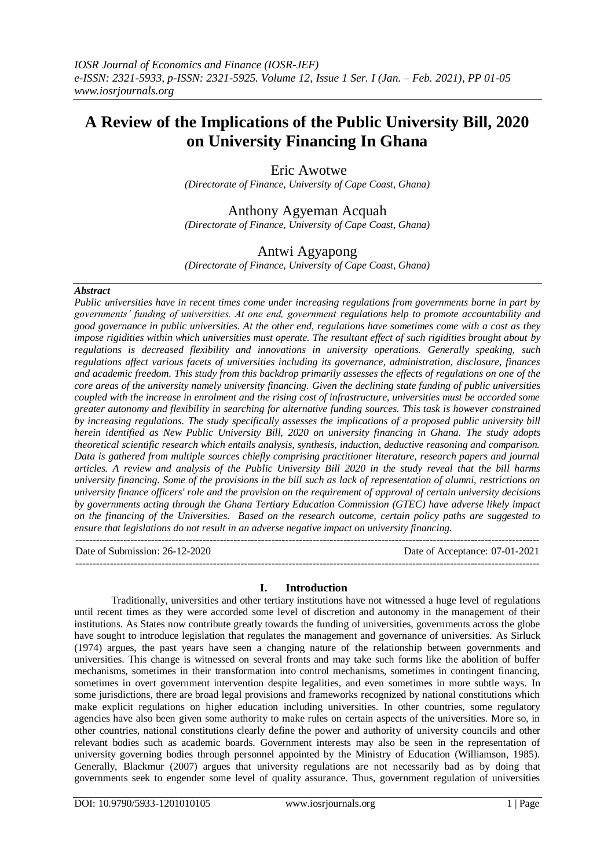# **A Review of the Implications of the Public University Bill, 2020 on University Financing In Ghana**

## Eric Awotwe

*(Directorate of Finance, University of Cape Coast, Ghana)*

# Anthony Agyeman Acquah

*(Directorate of Finance, University of Cape Coast, Ghana)*

# Antwi Agyapong

*(Directorate of Finance, University of Cape Coast, Ghana)*

#### *Abstract*

*Public universities have in recent times come under increasing regulations from governments borne in part by governments' funding of universities. At one end, government regulations help to promote accountability and good governance in public universities. At the other end, regulations have sometimes come with a cost as they impose rigidities within which universities must operate. The resultant effect of such rigidities brought about by regulations is decreased flexibility and innovations in university operations. Generally speaking, such regulations affect various facets of universities including its governance, administration, disclosure, finances and academic freedom. This study from this backdrop primarily assesses the effects of regulations on one of the core areas of the university namely university financing. Given the declining state funding of public universities coupled with the increase in enrolment and the rising cost of infrastructure, universities must be accorded some greater autonomy and flexibility in searching for alternative funding sources. This task is however constrained by increasing regulations. The study specifically assesses the implications of a proposed public university bill herein identified as New Public University Bill, 2020 on university financing in Ghana. The study adopts theoretical scientific research which entails analysis, synthesis, induction, deductive reasoning and comparison. Data is gathered from multiple sources chiefly comprising practitioner literature, research papers and journal articles. A review and analysis of the Public University Bill 2020 in the study reveal that the bill harms university financing. Some of the provisions in the bill such as lack of representation of alumni, restrictions on university finance officers' role and the provision on the requirement of approval of certain university decisions by governments acting through the Ghana Tertiary Education Commission (GTEC) have adverse likely impact on the financing of the Universities. Based on the research outcome, certain policy paths are suggested to ensure that legislations do not result in an adverse negative impact on university financing.*  ---------------------------------------------------------------------------------------------------------------------------------------

Date of Submission: 26-12-2020 Date of Acceptance: 07-01-2021 ---------------------------------------------------------------------------------------------------------------------------------------

## **I. Introduction**

Traditionally, universities and other tertiary institutions have not witnessed a huge level of regulations until recent times as they were accorded some level of discretion and autonomy in the management of their institutions. As States now contribute greatly towards the funding of universities, governments across the globe have sought to introduce legislation that regulates the management and governance of universities. As Sirluck (1974) argues, the past years have seen a changing nature of the relationship between governments and universities. This change is witnessed on several fronts and may take such forms like the abolition of buffer mechanisms, sometimes in their transformation into control mechanisms, sometimes in contingent financing, sometimes in overt government intervention despite legalities, and even sometimes in more subtle ways. In some jurisdictions, there are broad legal provisions and frameworks recognized by national constitutions which make explicit regulations on higher education including universities. In other countries, some regulatory agencies have also been given some authority to make rules on certain aspects of the universities. More so, in other countries, national constitutions clearly define the power and authority of university councils and other relevant bodies such as academic boards. Government interests may also be seen in the representation of university governing bodies through personnel appointed by the Ministry of Education (Williamson, 1985). Generally, Blackmur (2007) argues that university regulations are not necessarily bad as by doing that governments seek to engender some level of quality assurance. Thus, government regulation of universities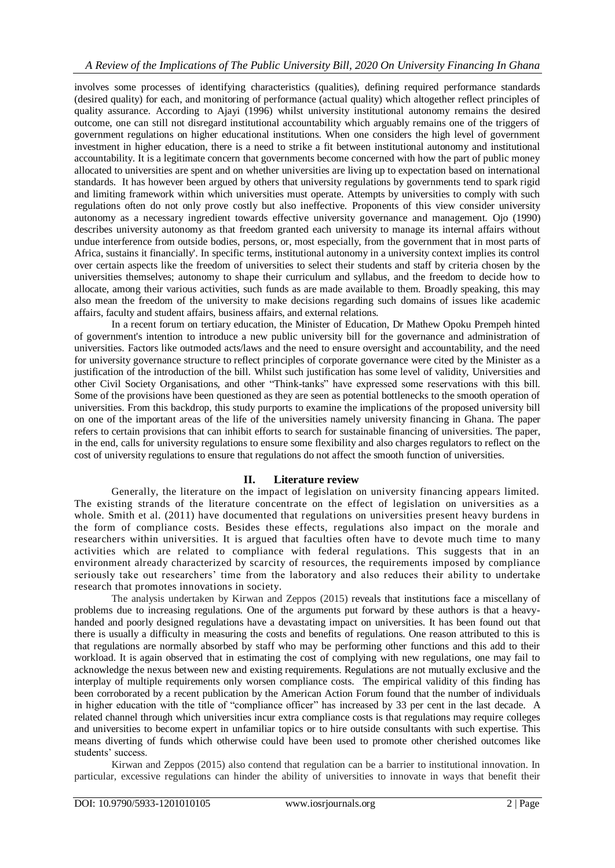## *A Review of the Implications of The Public University Bill, 2020 On University Financing In Ghana*

involves some processes of identifying characteristics (qualities), defining required performance standards (desired quality) for each, and monitoring of performance (actual quality) which altogether reflect principles of quality assurance. According to Ajayi (1996) whilst university institutional autonomy remains the desired outcome, one can still not disregard institutional accountability which arguably remains one of the triggers of government regulations on higher educational institutions. When one considers the high level of government investment in higher education, there is a need to strike a fit between institutional autonomy and institutional accountability. It is a legitimate concern that governments become concerned with how the part of public money allocated to universities are spent and on whether universities are living up to expectation based on international standards. It has however been argued by others that university regulations by governments tend to spark rigid and limiting framework within which universities must operate. Attempts by universities to comply with such regulations often do not only prove costly but also ineffective. Proponents of this view consider university autonomy as a necessary ingredient towards effective university governance and management. Ojo (1990) describes university autonomy as that freedom granted each university to manage its internal affairs without undue interference from outside bodies, persons, or, most especially, from the government that in most parts of Africa, sustains it financially'. In specific terms, institutional autonomy in a university context implies its control over certain aspects like the freedom of universities to select their students and staff by criteria chosen by the universities themselves; autonomy to shape their curriculum and syllabus, and the freedom to decide how to allocate, among their various activities, such funds as are made available to them. Broadly speaking, this may also mean the freedom of the university to make decisions regarding such domains of issues like academic affairs, faculty and student affairs, business affairs, and external relations.

In a recent forum on tertiary education, the Minister of Education, Dr Mathew Opoku Prempeh hinted of government's intention to introduce a new public university bill for the governance and administration of universities. Factors like outmoded acts/laws and the need to ensure oversight and accountability, and the need for university governance structure to reflect principles of corporate governance were cited by the Minister as a justification of the introduction of the bill. Whilst such justification has some level of validity, Universities and other Civil Society Organisations, and other "Think-tanks" have expressed some reservations with this bill. Some of the provisions have been questioned as they are seen as potential bottlenecks to the smooth operation of universities. From this backdrop, this study purports to examine the implications of the proposed university bill on one of the important areas of the life of the universities namely university financing in Ghana. The paper refers to certain provisions that can inhibit efforts to search for sustainable financing of universities. The paper, in the end, calls for university regulations to ensure some flexibility and also charges regulators to reflect on the cost of university regulations to ensure that regulations do not affect the smooth function of universities.

## **II. Literature review**

Generally, the literature on the impact of legislation on university financing appears limited. The existing strands of the literature concentrate on the effect of legislation on universities as a whole. Smith et al. (2011) have documented that regulations on universities present heavy burdens in the form of compliance costs. Besides these effects, regulations also impact on the morale and researchers within universities. It is argued that faculties often have to devote much time to many activities which are related to compliance with federal regulations. This suggests that in an environment already characterized by scarcity of resources, the requirements imposed by compliance seriously take out researchers' time from the laboratory and also reduces their ability to undertake research that promotes innovations in society.

The analysis undertaken by Kirwan and Zeppos (2015) reveals that institutions face a miscellany of problems due to increasing regulations. One of the arguments put forward by these authors is that a heavyhanded and poorly designed regulations have a devastating impact on universities. It has been found out that there is usually a difficulty in measuring the costs and benefits of regulations. One reason attributed to this is that regulations are normally absorbed by staff who may be performing other functions and this add to their workload. It is again observed that in estimating the cost of complying with new regulations, one may fail to acknowledge the nexus between new and existing requirements. Regulations are not mutually exclusive and the interplay of multiple requirements only worsen compliance costs. The empirical validity of this finding has been corroborated by a recent publication by the American Action Forum found that the number of individuals in higher education with the title of "compliance officer" has increased by 33 per cent in the last decade. A related channel through which universities incur extra compliance costs is that regulations may require colleges and universities to become expert in unfamiliar topics or to hire outside consultants with such expertise. This means diverting of funds which otherwise could have been used to promote other cherished outcomes like students' success.

Kirwan and Zeppos (2015) also contend that regulation can be a barrier to institutional innovation. In particular, excessive regulations can hinder the ability of universities to innovate in ways that benefit their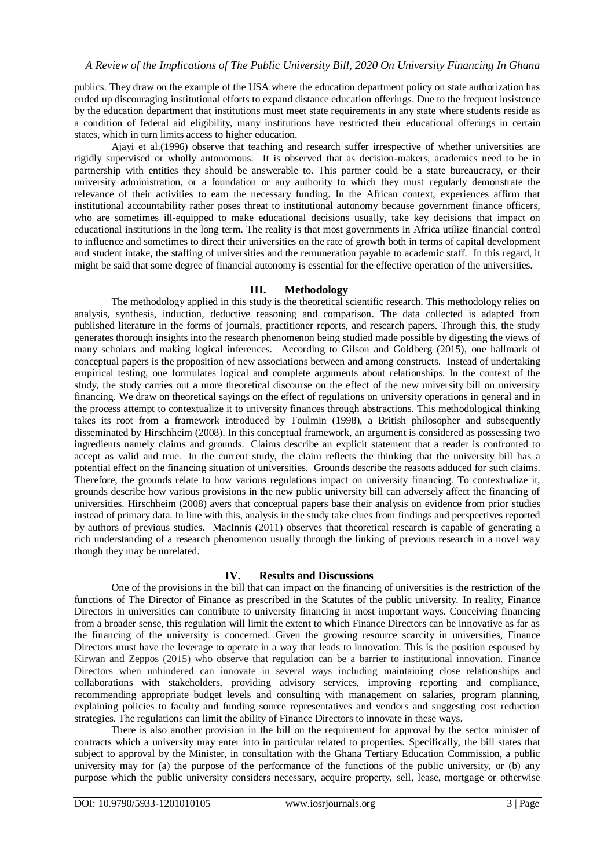publics. They draw on the example of the USA where the education department policy on state authorization has ended up discouraging institutional efforts to expand distance education offerings. Due to the frequent insistence by the education department that institutions must meet state requirements in any state where students reside as a condition of federal aid eligibility, many institutions have restricted their educational offerings in certain states, which in turn limits access to higher education.

Ajayi et al.(1996) observe that teaching and research suffer irrespective of whether universities are rigidly supervised or wholly autonomous. It is observed that as decision-makers, academics need to be in partnership with entities they should be answerable to. This partner could be a state bureaucracy, or their university administration, or a foundation or any authority to which they must regularly demonstrate the relevance of their activities to earn the necessary funding. In the African context, experiences affirm that institutional accountability rather poses threat to institutional autonomy because government finance officers, who are sometimes ill-equipped to make educational decisions usually, take key decisions that impact on educational institutions in the long term. The reality is that most governments in Africa utilize financial control to influence and sometimes to direct their universities on the rate of growth both in terms of capital development and student intake, the staffing of universities and the remuneration payable to academic staff. In this regard, it might be said that some degree of financial autonomy is essential for the effective operation of the universities.

#### **III. Methodology**

The methodology applied in this study is the theoretical scientific research. This methodology relies on analysis, synthesis, induction, deductive reasoning and comparison. The data collected is adapted from published literature in the forms of journals, practitioner reports, and research papers. Through this, the study generates thorough insights into the research phenomenon being studied made possible by digesting the views of many scholars and making logical inferences. According to Gilson and Goldberg (2015), one hallmark of conceptual papers is the proposition of new associations between and among constructs. Instead of undertaking empirical testing, one formulates logical and complete arguments about relationships. In the context of the study, the study carries out a more theoretical discourse on the effect of the new university bill on university financing. We draw on theoretical sayings on the effect of regulations on university operations in general and in the process attempt to contextualize it to university finances through abstractions. This methodological thinking takes its root from a framework introduced by Toulmin (1998), a British philosopher and subsequently disseminated by Hirschheim (2008). In this conceptual framework, an argument is considered as possessing two ingredients namely claims and grounds. Claims describe an explicit statement that a reader is confronted to accept as valid and true. In the current study, the claim reflects the thinking that the university bill has a potential effect on the financing situation of universities. Grounds describe the reasons adduced for such claims. Therefore, the grounds relate to how various regulations impact on university financing. To contextualize it, grounds describe how various provisions in the new public university bill can adversely affect the financing of universities. Hirschheim (2008) avers that conceptual papers base their analysis on evidence from prior studies instead of primary data. In line with this, analysis in the study take clues from findings and perspectives reported by authors of previous studies. MacInnis (2011) observes that theoretical research is capable of generating a rich understanding of a research phenomenon usually through the linking of previous research in a novel way though they may be unrelated.

## **IV. Results and Discussions**

One of the provisions in the bill that can impact on the financing of universities is the restriction of the functions of The Director of Finance as prescribed in the Statutes of the public university. In reality, Finance Directors in universities can contribute to university financing in most important ways. Conceiving financing from a broader sense, this regulation will limit the extent to which Finance Directors can be innovative as far as the financing of the university is concerned. Given the growing resource scarcity in universities, Finance Directors must have the leverage to operate in a way that leads to innovation. This is the position espoused by Kirwan and Zeppos (2015) who observe that regulation can be a barrier to institutional innovation. Finance Directors when unhindered can innovate in several ways including maintaining close relationships and collaborations with stakeholders, providing advisory services, improving reporting and compliance, recommending appropriate budget levels and consulting with management on salaries, program planning, explaining policies to faculty and funding source representatives and vendors and suggesting cost reduction strategies. The regulations can limit the ability of Finance Directors to innovate in these ways.

There is also another provision in the bill on the requirement for approval by the sector minister of contracts which a university may enter into in particular related to properties. Specifically, the bill states that subject to approval by the Minister, in consultation with the Ghana Tertiary Education Commission, a public university may for (a) the purpose of the performance of the functions of the public university, or  $(b)$  any purpose which the public university considers necessary, acquire property, sell, lease, mortgage or otherwise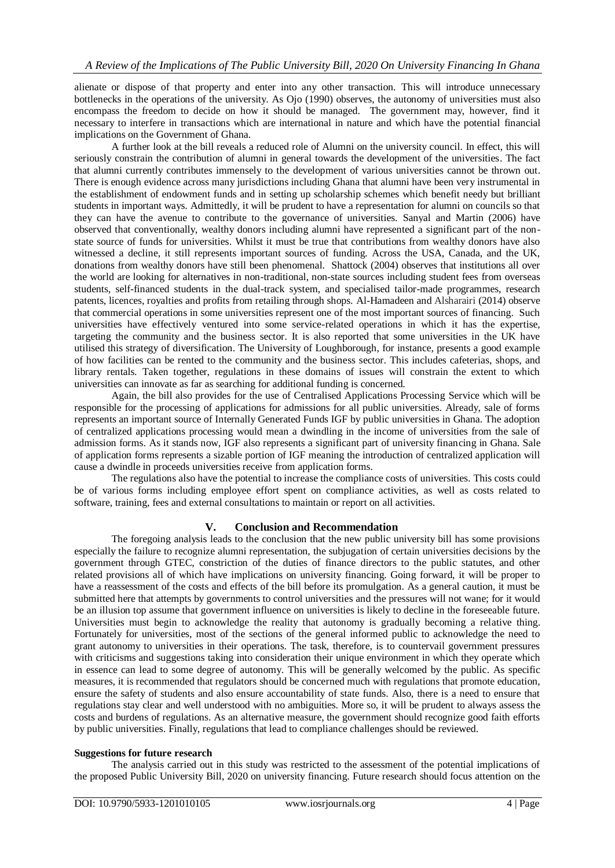alienate or dispose of that property and enter into any other transaction. This will introduce unnecessary bottlenecks in the operations of the university. As Ojo (1990) observes, the autonomy of universities must also encompass the freedom to decide on how it should be managed. The government may, however, find it necessary to interfere in transactions which are international in nature and which have the potential financial implications on the Government of Ghana.

A further look at the bill reveals a reduced role of Alumni on the university council. In effect, this will seriously constrain the contribution of alumni in general towards the development of the universities. The fact that alumni currently contributes immensely to the development of various universities cannot be thrown out. There is enough evidence across many jurisdictions including Ghana that alumni have been very instrumental in the establishment of endowment funds and in setting up scholarship schemes which benefit needy but brilliant students in important ways. Admittedly, it will be prudent to have a representation for alumni on councils so that they can have the avenue to contribute to the governance of universities. Sanyal and Martin (2006) have observed that conventionally, wealthy donors including alumni have represented a significant part of the nonstate source of funds for universities. Whilst it must be true that contributions from wealthy donors have also witnessed a decline, it still represents important sources of funding. Across the USA, Canada, and the UK, donations from wealthy donors have still been phenomenal. Shattock (2004) observes that institutions all over the world are looking for alternatives in non-traditional, non-state sources including student fees from overseas students, self-financed students in the dual-track system, and specialised tailor-made programmes, research patents, licences, royalties and profits from retailing through shops. Al-Hamadeen and Alsharairi (2014) observe that commercial operations in some universities represent one of the most important sources of financing. Such universities have effectively ventured into some service-related operations in which it has the expertise, targeting the community and the business sector. It is also reported that some universities in the UK have utilised this strategy of diversification. The University of Loughborough, for instance, presents a good example of how facilities can be rented to the community and the business sector. This includes cafeterias, shops, and library rentals. Taken together, regulations in these domains of issues will constrain the extent to which universities can innovate as far as searching for additional funding is concerned.

Again, the bill also provides for the use of Centralised Applications Processing Service which will be responsible for the processing of applications for admissions for all public universities. Already, sale of forms represents an important source of Internally Generated Funds IGF by public universities in Ghana. The adoption of centralized applications processing would mean a dwindling in the income of universities from the sale of admission forms. As it stands now, IGF also represents a significant part of university financing in Ghana. Sale of application forms represents a sizable portion of IGF meaning the introduction of centralized application will cause a dwindle in proceeds universities receive from application forms.

The regulations also have the potential to increase the compliance costs of universities. This costs could be of various forms including employee effort spent on compliance activities, as well as costs related to software, training, fees and external consultations to maintain or report on all activities.

## **V. Conclusion and Recommendation**

The foregoing analysis leads to the conclusion that the new public university bill has some provisions especially the failure to recognize alumni representation, the subjugation of certain universities decisions by the government through GTEC, constriction of the duties of finance directors to the public statutes, and other related provisions all of which have implications on university financing. Going forward, it will be proper to have a reassessment of the costs and effects of the bill before its promulgation. As a general caution, it must be submitted here that attempts by governments to control universities and the pressures will not wane; for it would be an illusion top assume that government influence on universities is likely to decline in the foreseeable future. Universities must begin to acknowledge the reality that autonomy is gradually becoming a relative thing. Fortunately for universities, most of the sections of the general informed public to acknowledge the need to grant autonomy to universities in their operations. The task, therefore, is to countervail government pressures with criticisms and suggestions taking into consideration their unique environment in which they operate which in essence can lead to some degree of autonomy. This will be generally welcomed by the public. As specific measures, it is recommended that regulators should be concerned much with regulations that promote education, ensure the safety of students and also ensure accountability of state funds. Also, there is a need to ensure that regulations stay clear and well understood with no ambiguities. More so, it will be prudent to always assess the costs and burdens of regulations. As an alternative measure, the government should recognize good faith efforts by public universities. Finally, regulations that lead to compliance challenges should be reviewed.

#### **Suggestions for future research**

The analysis carried out in this study was restricted to the assessment of the potential implications of the proposed Public University Bill, 2020 on university financing. Future research should focus attention on the